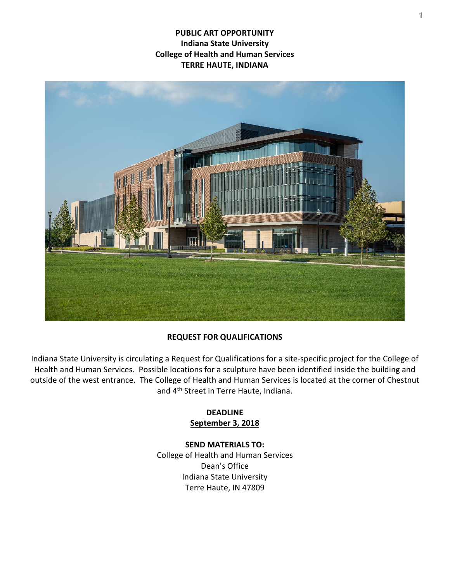**PUBLIC ART OPPORTUNITY Indiana State University College of Health and Human Services TERRE HAUTE, INDIANA**



#### **REQUEST FOR QUALIFICATIONS**

Indiana State University is circulating a Request for Qualifications for a site-specific project for the College of Health and Human Services. Possible locations for a sculpture have been identified inside the building and outside of the west entrance. The College of Health and Human Services is located at the corner of Chestnut and 4th Street in Terre Haute, Indiana.

#### **DEADLINE September 3, 2018**

#### **SEND MATERIALS TO:**

College of Health and Human Services Dean's Office Indiana State University Terre Haute, IN 47809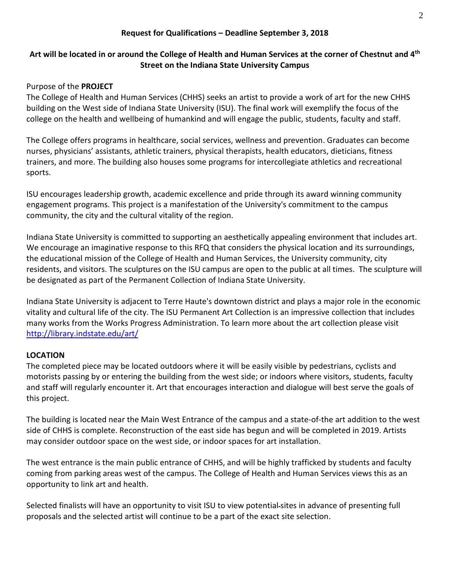### **Request for Qualifications – Deadline September 3, 2018**

# **Art will be located in or around the College of Health and Human Services at the corner of Chestnut and 4th Street on the Indiana State University Campus**

### Purpose of the **PROJECT**

The College of Health and Human Services (CHHS) seeks an artist to provide a work of art for the new CHHS building on the West side of Indiana State University (ISU). The final work will exemplify the focus of the college on the health and wellbeing of humankind and will engage the public, students, faculty and staff.

The College offers programs in healthcare, social services, wellness and prevention. Graduates can become nurses, physicians' assistants, athletic trainers, physical therapists, health educators, dieticians, fitness trainers, and more. The building also houses some programs for intercollegiate athletics and recreational sports.

ISU encourages leadership growth, academic excellence and pride through its award winning community engagement programs. This project is a manifestation of the University's commitment to the campus community, the city and the cultural vitality of the region.

Indiana State University is committed to supporting an aesthetically appealing environment that includes art. We encourage an imaginative response to this RFQ that considers the physical location and its surroundings, the educational mission of the College of Health and Human Services, the University community, city residents, and visitors. The sculptures on the ISU campus are open to the public at all times. The sculpture will be designated as part of the Permanent Collection of Indiana State University.

Indiana State University is adjacent to Terre Haute's downtown district and plays a major role in the economic vitality and cultural life of the city. The ISU Permanent Art Collection is an impressive collection that includes many works from the Works Progress Administration. To learn more about the art collection please visit <http://library.indstate.edu/art/>

# **LOCATION**

The completed piece may be located outdoors where it will be easily visible by pedestrians, cyclists and motorists passing by or entering the building from the west side; or indoors where visitors, students, faculty and staff will regularly encounter it. Art that encourages interaction and dialogue will best serve the goals of this project.

The building is located near the Main West Entrance of the campus and a state-of-the art addition to the west side of CHHS is complete. Reconstruction of the east side has begun and will be completed in 2019. Artists may consider outdoor space on the west side, or indoor spaces for art installation.

The west entrance is the main public entrance of CHHS, and will be highly trafficked by students and faculty coming from parking areas west of the campus. The College of Health and Human Services views this as an opportunity to link art and health.

Selected finalists will have an opportunity to visit ISU to view potential sites in advance of presenting full proposals and the selected artist will continue to be a part of the exact site selection.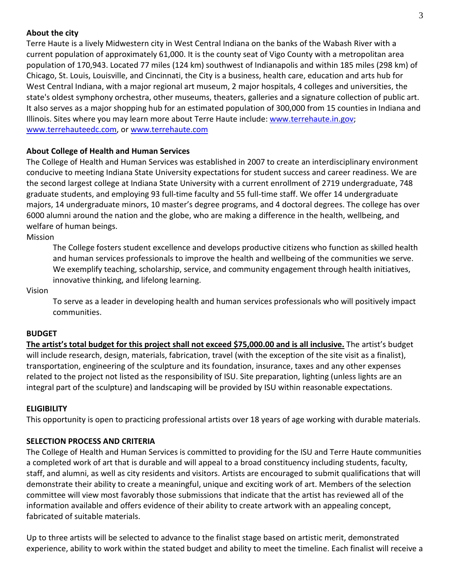### **About the city**

Terre Haute is a lively Midwestern city in West Central Indiana on the banks of the Wabash River with a current population of approximately 61,000. It is the county seat of Vigo County with a metropolitan area population of 170,943. Located 77 miles (124 km) southwest of Indianapolis and within 185 miles (298 km) of Chicago, St. Louis, Louisville, and Cincinnati, the City is a business, health care, education and arts hub for West Central Indiana, with a major regional art museum, 2 major hospitals, 4 colleges and universities, the state's oldest symphony orchestra, other museums, theaters, galleries and a signature collection of public art. It also serves as a major shopping hub for an estimated population of 300,000 from 15 counties in Indiana and Illinois. Sites where you may learn more about Terre Haute include: [www.terrehaute.in.gov;](http://www.terrehaute.in.gov/) [www.terrehauteedc.com,](http://www.terrehauteedc.com/) o[r www.terrehaute.com](https://sycamoresindstate-my.sharepoint.com/Art%20Spaces/AppData/Local/Microsoft/Windows/Owner/AppData/Local/SCULPTURE%20FILES/READING%20PLACE/www.terrehaute.com)

# **About College of Health and Human Services**

The College of Health and Human Services was established in 2007 to create an interdisciplinary environment conducive to meeting Indiana State University expectations for student success and career readiness. We are the second largest college at Indiana State University with a current enrollment of 2719 undergraduate, 748 graduate students, and employing 93 full-time faculty and 55 full-time staff. We offer 14 undergraduate majors, 14 undergraduate minors, 10 master's degree programs, and 4 doctoral degrees. The college has over 6000 alumni around the nation and the globe, who are making a difference in the health, wellbeing, and welfare of human beings.

Mission

The College fosters student excellence and develops productive citizens who function as skilled health and human services professionals to improve the health and wellbeing of the communities we serve. We exemplify teaching, scholarship, service, and community engagement through health initiatives, innovative thinking, and lifelong learning.

Vision

To serve as a leader in developing health and human services professionals who will positively impact communities.

#### **BUDGET**

**The artist's total budget for this project shall not exceed \$75,000.00 and is all inclusive.** The artist's budget will include research, design, materials, fabrication, travel (with the exception of the site visit as a finalist), transportation, engineering of the sculpture and its foundation, insurance, taxes and any other expenses related to the project not listed as the responsibility of ISU. Site preparation, lighting (unless lights are an integral part of the sculpture) and landscaping will be provided by ISU within reasonable expectations.

#### **ELIGIBILITY**

This opportunity is open to practicing professional artists over 18 years of age working with durable materials.

#### **SELECTION PROCESS AND CRITERIA**

The College of Health and Human Services is committed to providing for the ISU and Terre Haute communities a completed work of art that is durable and will appeal to a broad constituency including students, faculty, staff, and alumni, as well as city residents and visitors. Artists are encouraged to submit qualifications that will demonstrate their ability to create a meaningful, unique and exciting work of art. Members of the selection committee will view most favorably those submissions that indicate that the artist has reviewed all of the information available and offers evidence of their ability to create artwork with an appealing concept, fabricated of suitable materials.

Up to three artists will be selected to advance to the finalist stage based on artistic merit, demonstrated experience, ability to work within the stated budget and ability to meet the timeline. Each finalist will receive a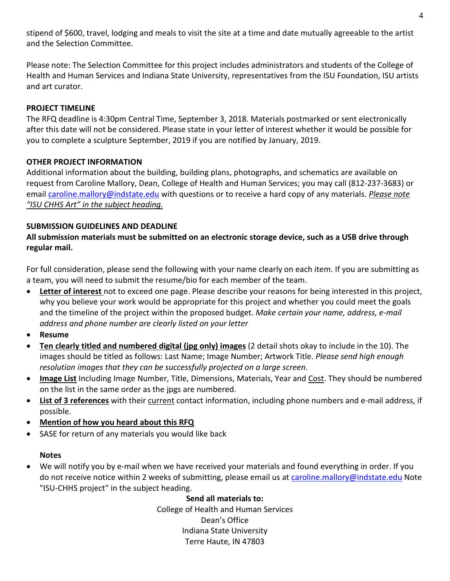stipend of \$600, travel, lodging and meals to visit the site at a time and date mutually agreeable to the artist and the Selection Committee.

Please note: The Selection Committee for this project includes administrators and students of the College of Health and Human Services and Indiana State University, representatives from the ISU Foundation, ISU artists and art curator.

# **PROJECT TIMELINE**

The RFQ deadline is 4:30pm Central Time, September 3, 2018. Materials postmarked or sent electronically after this date will not be considered. Please state in your letter of interest whether it would be possible for you to complete a sculpture September, 2019 if you are notified by January, 2019.

# **OTHER PROJECT INFORMATION**

Additional information about the building, building plans, photographs, and schematics are available on request from Caroline Mallory, Dean, College of Health and Human Services; you may call (812-237-3683) or email [caroline.mallory@indstate.edu](mailto:caroline.mallory@indstate.edu) with questions or to receive a hard copy of any materials. *Please note "ISU CHHS Art" in the subject heading.*

# **SUBMISSION GUIDELINES AND DEADLINE**

# **All submission materials must be submitted on an electronic storage device, such as a USB drive through regular mail.**

For full consideration, please send the following with your name clearly on each item. If you are submitting as a team, you will need to submit the resume/bio for each member of the team.

- **Letter of interest** not to exceed one page. Please describe your reasons for being interested in this project, why you believe your work would be appropriate for this project and whether you could meet the goals and the timeline of the project within the proposed budget. *Make certain your name, address, e-mail address and phone number are clearly listed on your letter*
- **Resume**
- **Ten clearly titled and numbered digital (jpg only) images** (2 detail shots okay to include in the 10). The images should be titled as follows: Last Name; Image Number; Artwork Title. *Please send high enough resolution images that they can be successfully projected on a large screen*.
- **Image List** Including Image Number, Title, Dimensions, Materials, Year and Cost. They should be numbered on the list in the same order as the jpgs are numbered.
- **List of 3 references** with their current contact information, including phone numbers and e-mail address, if possible.
- **Mention of how you heard about this RFQ**
- SASE for return of any materials you would like back

# **Notes**

• We will notify you by e-mail when we have received your materials and found everything in order. If you do not receive notice within 2 weeks of submitting, please email us at [caroline.mallory@indstate.edu](mailto:caroline.mallory@indstate.edu) Note "ISU-CHHS project" in the subject heading.

# **Send all materials to:**

College of Health and Human Services Dean's Office Indiana State University Terre Haute, IN 47803